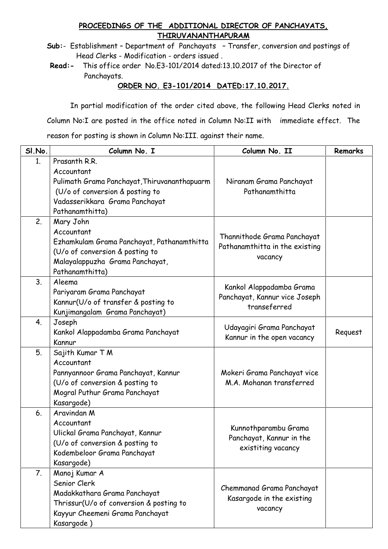## **PROCEEDINGS OF THE ADDITIONAL DIRECTOR OF PANCHAYATS, THIRUVANANTHAPURAM**

**Sub:**- Establishment – Department of Panchayats – Transfer, conversion and postings of Head Clerks - Modification - orders issued.

**Read:-** This office order No.E3-101/2014 dated:13.10.2017 of the Director of Panchayats.

## **ORDER NO. E3-101/2014 DATED:17.10.2017.**

In partial modification of the order cited above, the following Head Clerks noted in Column No:I are posted in the office noted in Column No:II with immediate effect. The reason for posting is shown in Column No:III. against their name.

| SI.No.         | Column No. I                                                                                                                                                        | Column No. II                                                             | Remarks |
|----------------|---------------------------------------------------------------------------------------------------------------------------------------------------------------------|---------------------------------------------------------------------------|---------|
| 1.             | Prasanth R.R.<br>Accountant<br>Pulimath Grama Panchayat, Thiruvananthapuarm<br>(U/o of conversion & posting to<br>Vadasserikkara Grama Panchayat<br>Pathanamthitta) | Niranam Grama Panchayat<br>Pathanamthitta                                 |         |
| 2.             | Mary John<br>Accountant<br>Ezhamkulam Grama Panchayat, Pathanamthitta<br>(U/o of conversion & posting to<br>Malayalappuzha Grama Panchayat,<br>Pathanamthitta)      | Thannithode Grama Panchayat<br>Pathanamthitta in the existing<br>vacancy  |         |
| 3 <sub>1</sub> | Aleema<br>Pariyaram Grama Panchayat<br>Kannur(U/o of transfer & posting to<br>Kunjimangalam Grama Panchayat)                                                        | Kankol Alappadamba Grama<br>Panchayat, Kannur vice Joseph<br>transeferred |         |
| 4.             | Joseph<br>Kankol Alappadamba Grama Panchayat<br>Kannur                                                                                                              | Udayagiri Grama Panchayat<br>Kannur in the open vacancy                   | Request |
| 5.             | Sajith Kumar T M<br>Accountant<br>Pannyannoor Grama Panchayat, Kannur<br>(U/o of conversion & posting to<br>Mogral Puthur Grama Panchayat<br>Kasargode)             | Mokeri Grama Panchayat vice<br>M.A. Mohanan transferred                   |         |
| 6.             | Aravindan M<br>Accountant<br>Ulickal Grama Panchayat, Kannur<br>(U/o of conversion & posting to<br>Kodembeloor Grama Panchayat<br>Kasargode)                        | Kunnothparambu Grama<br>Panchayat, Kannur in the<br>existiting vacancy    |         |
| 7.             | Manoj Kumar A<br>Senior Clerk<br>Madakkathara Grama Panchayat<br>Thrissur(U/o of conversion & posting to<br>Kayyur Cheemeni Grama Panchayat<br>Kasargode)           | Chemmanad Grama Panchayat<br>Kasargode in the existing<br>vacancy         |         |